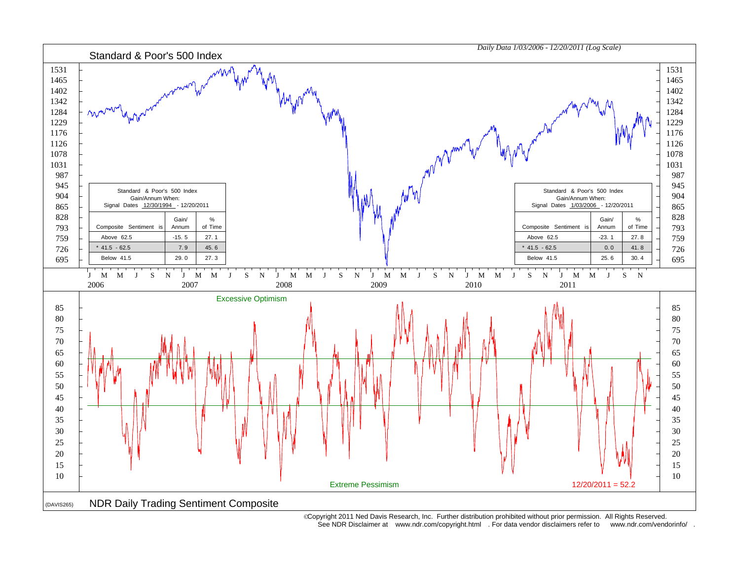

 Copyright 2011 Ned Davis Research, Inc. Further distribution prohibited without prior permission. All Rights Reserved. See NDR Disclaimer at www.ndr.com/copyright.html . For data vendor disclaimers refer to www.ndr.com/vendorinfo/ .